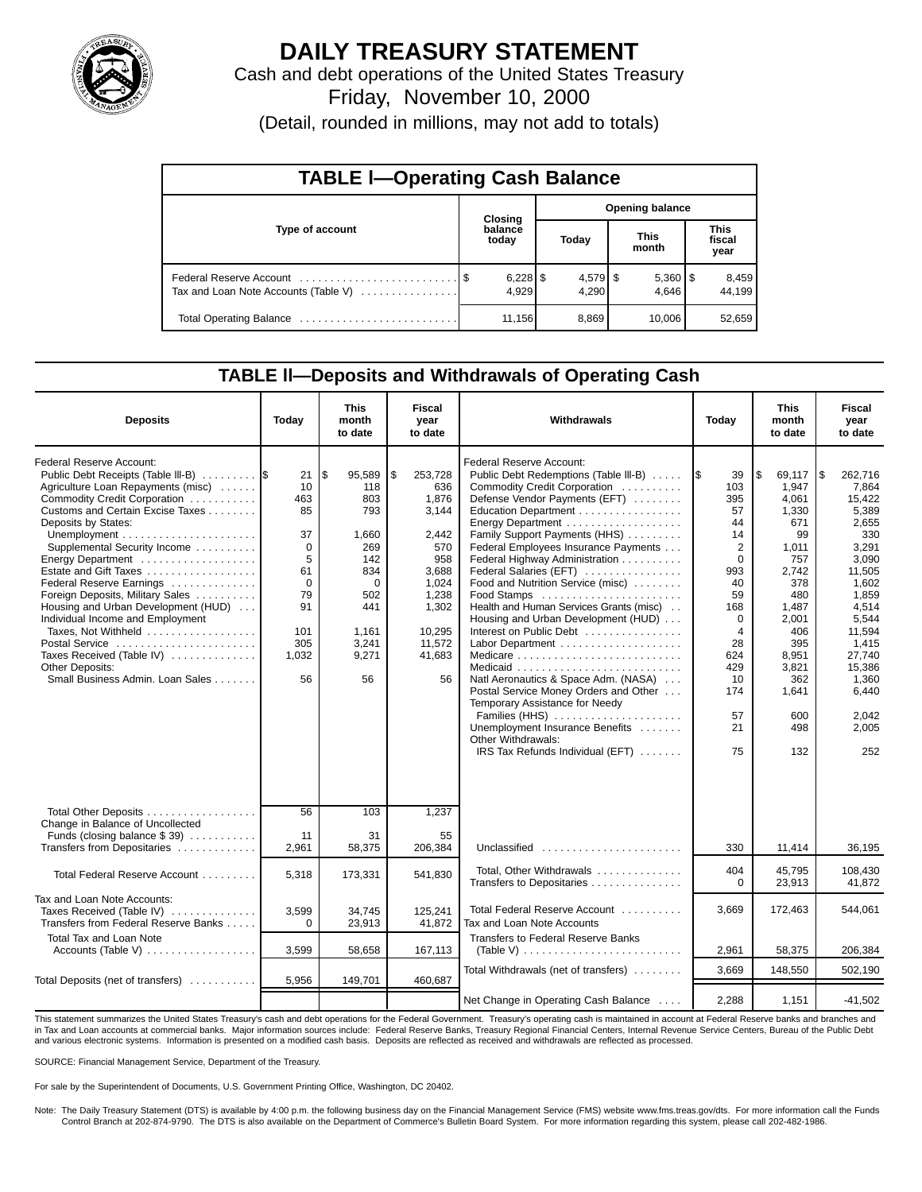

# **DAILY TREASURY STATEMENT**

Cash and debt operations of the United States Treasury Friday, November 10, 2000

(Detail, rounded in millions, may not add to totals)

| <b>TABLE I-Operating Cash Balance</b> |  |                  |                        |                     |  |                       |  |                               |  |  |  |
|---------------------------------------|--|------------------|------------------------|---------------------|--|-----------------------|--|-------------------------------|--|--|--|
|                                       |  | Closing          | <b>Opening balance</b> |                     |  |                       |  |                               |  |  |  |
| Type of account                       |  | balance<br>today |                        | Today               |  | <b>This</b><br>month  |  | <b>This</b><br>fiscal<br>year |  |  |  |
| Tax and Loan Note Accounts (Table V)  |  | 4.929            |                        | $4,579$ \$<br>4.290 |  | $5,360$   \$<br>4.646 |  | 8,459<br>44.199               |  |  |  |
|                                       |  | 11,156           |                        | 8,869               |  | 10,006                |  | 52,659                        |  |  |  |

## **TABLE ll—Deposits and Withdrawals of Operating Cash**

| <b>Deposits</b>                                                                                                                                                                                                                                                                                                                                                                                                                                                                                                                                       | Today                                                                                                      | <b>This</b><br>month<br>to date                                                                                            | <b>Fiscal</b><br>year<br>to date                                                                                                      | Withdrawals<br>Today                                                                                                                                                                                                                                                                                                                                                                                                                                                                                                                                                                                                                                                                                                         |                                                                                                                                                                   | <b>This</b><br>month<br>to date                                                                                                                                                     | <b>Fiscal</b><br>year<br>to date                                                                                                                                                                             |
|-------------------------------------------------------------------------------------------------------------------------------------------------------------------------------------------------------------------------------------------------------------------------------------------------------------------------------------------------------------------------------------------------------------------------------------------------------------------------------------------------------------------------------------------------------|------------------------------------------------------------------------------------------------------------|----------------------------------------------------------------------------------------------------------------------------|---------------------------------------------------------------------------------------------------------------------------------------|------------------------------------------------------------------------------------------------------------------------------------------------------------------------------------------------------------------------------------------------------------------------------------------------------------------------------------------------------------------------------------------------------------------------------------------------------------------------------------------------------------------------------------------------------------------------------------------------------------------------------------------------------------------------------------------------------------------------------|-------------------------------------------------------------------------------------------------------------------------------------------------------------------|-------------------------------------------------------------------------------------------------------------------------------------------------------------------------------------|--------------------------------------------------------------------------------------------------------------------------------------------------------------------------------------------------------------|
| Federal Reserve Account:<br>Public Debt Receipts (Table III-B)<br>Agriculture Loan Repayments (misc)<br>Commodity Credit Corporation<br>Customs and Certain Excise Taxes<br>Deposits by States:<br>Supplemental Security Income<br>Energy Department<br>Estate and Gift Taxes<br>Federal Reserve Earnings<br>Foreign Deposits, Military Sales<br>Housing and Urban Development (HUD)<br>Individual Income and Employment<br>Taxes, Not Withheld<br>Postal Service<br>Taxes Received (Table IV)<br>Other Deposits:<br>Small Business Admin. Loan Sales | 21<br>10<br>463<br>85<br>37<br>$\Omega$<br>5<br>61<br>$\mathbf 0$<br>79<br>91<br>101<br>305<br>1,032<br>56 | \$<br>95,589<br>118<br>803<br>793<br>1,660<br>269<br>142<br>834<br>$\Omega$<br>502<br>441<br>1,161<br>3,241<br>9,271<br>56 | \$<br>253,728<br>636<br>1,876<br>3,144<br>2.442<br>570<br>958<br>3,688<br>1,024<br>1,238<br>1,302<br>10,295<br>11,572<br>41,683<br>56 | Federal Reserve Account:<br>Public Debt Redemptions (Table III-B)<br>Commodity Credit Corporation<br>Defense Vendor Payments (EFT)<br>Education Department<br>Energy Department<br>Family Support Payments (HHS)<br>Federal Employees Insurance Payments<br>Federal Highway Administration<br>Federal Salaries (EFT)<br>Food and Nutrition Service (misc)<br>Health and Human Services Grants (misc)<br>Housing and Urban Development (HUD)<br>Interest on Public Debt<br>Labor Department<br>Natl Aeronautics & Space Adm. (NASA)<br>Postal Service Money Orders and Other<br>Temporary Assistance for Needy<br>Families (HHS)<br>Unemployment Insurance Benefits<br>Other Withdrawals:<br>IRS Tax Refunds Individual (EFT) | 1\$<br>39<br>103<br>395<br>57<br>44<br>14<br>$\overline{2}$<br>$\mathbf 0$<br>993<br>40<br>59<br>168<br>0<br>4<br>28<br>624<br>429<br>10<br>174<br>57<br>21<br>75 | l\$<br>69.117<br>1,947<br>4,061<br>1,330<br>671<br>99<br>1,011<br>757<br>2,742<br>378<br>480<br>1,487<br>2,001<br>406<br>395<br>8,951<br>3,821<br>362<br>1,641<br>600<br>498<br>132 | l\$<br>262.716<br>7,864<br>15,422<br>5,389<br>2,655<br>330<br>3,291<br>3,090<br>11,505<br>1,602<br>1,859<br>4,514<br>5,544<br>11,594<br>1,415<br>27,740<br>15,386<br>1,360<br>6,440<br>2,042<br>2,005<br>252 |
| Total Other Deposits<br>Change in Balance of Uncollected<br>Funds (closing balance $$39$ )<br>Transfers from Depositaries                                                                                                                                                                                                                                                                                                                                                                                                                             | 56<br>11<br>2,961                                                                                          | 103<br>31<br>58,375                                                                                                        | 1,237<br>55<br>206,384                                                                                                                | Unclassified                                                                                                                                                                                                                                                                                                                                                                                                                                                                                                                                                                                                                                                                                                                 | 330                                                                                                                                                               | 11,414                                                                                                                                                                              | 36,195                                                                                                                                                                                                       |
| Total Federal Reserve Account                                                                                                                                                                                                                                                                                                                                                                                                                                                                                                                         | 5.318                                                                                                      | 173,331                                                                                                                    | 541,830                                                                                                                               | Total, Other Withdrawals                                                                                                                                                                                                                                                                                                                                                                                                                                                                                                                                                                                                                                                                                                     | 404<br>$\Omega$                                                                                                                                                   | 45,795                                                                                                                                                                              | 108,430                                                                                                                                                                                                      |
| Tax and Loan Note Accounts:<br>Taxes Received (Table IV)<br>Transfers from Federal Reserve Banks<br><b>Total Tax and Loan Note</b>                                                                                                                                                                                                                                                                                                                                                                                                                    | 3,599<br>$\Omega$                                                                                          | 34.745<br>23,913                                                                                                           | 125,241<br>41.872                                                                                                                     | Transfers to Depositaries<br>Total Federal Reserve Account<br>Tax and Loan Note Accounts<br>Transfers to Federal Reserve Banks                                                                                                                                                                                                                                                                                                                                                                                                                                                                                                                                                                                               | 3,669                                                                                                                                                             | 23,913<br>172,463                                                                                                                                                                   | 41,872<br>544,061                                                                                                                                                                                            |
| Accounts (Table V)                                                                                                                                                                                                                                                                                                                                                                                                                                                                                                                                    | 3,599                                                                                                      | 58,658                                                                                                                     | 167,113                                                                                                                               | (Table V) $\ldots \ldots \ldots \ldots \ldots \ldots \ldots \ldots$                                                                                                                                                                                                                                                                                                                                                                                                                                                                                                                                                                                                                                                          | 2,961                                                                                                                                                             | 58,375                                                                                                                                                                              | 206,384                                                                                                                                                                                                      |
| Total Deposits (net of transfers)                                                                                                                                                                                                                                                                                                                                                                                                                                                                                                                     | 5,956                                                                                                      | 149,701                                                                                                                    | 460,687                                                                                                                               | Total Withdrawals (net of transfers)                                                                                                                                                                                                                                                                                                                                                                                                                                                                                                                                                                                                                                                                                         | 3,669                                                                                                                                                             | 148,550                                                                                                                                                                             | 502,190                                                                                                                                                                                                      |
|                                                                                                                                                                                                                                                                                                                                                                                                                                                                                                                                                       |                                                                                                            |                                                                                                                            |                                                                                                                                       | Net Change in Operating Cash Balance                                                                                                                                                                                                                                                                                                                                                                                                                                                                                                                                                                                                                                                                                         | 2,288                                                                                                                                                             | 1,151                                                                                                                                                                               | $-41,502$                                                                                                                                                                                                    |

This statement summarizes the United States Treasury's cash and debt operations for the Federal Government. Treasury's operating cash is maintained in account at Federal Reserve banks and branches and<br>in Tax and Loan accou and various electronic systems. Information is presented on a modified cash basis. Deposits are reflected as received and withdrawals are reflected as processed.

SOURCE: Financial Management Service, Department of the Treasury.

For sale by the Superintendent of Documents, U.S. Government Printing Office, Washington, DC 20402.

Note: The Daily Treasury Statement (DTS) is available by 4:00 p.m. the following business day on the Financial Management Service (FMS) website www.fms.treas.gov/dts. For more information call the Funds Control Branch at 202-874-9790. The DTS is also available on the Department of Commerce's Bulletin Board System. For more information regarding this system, please call 202-482-1986.